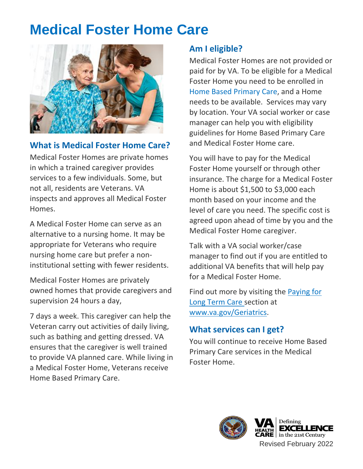## **Medical Foster Home Care**



#### **What is Medical Foster Home Care?**

Medical Foster Homes are private homes in which a trained caregiver provides services to a few individuals. Some, but not all, residents are Veterans. VA inspects and approves all Medical Foster Homes.

A Medical Foster Home can serve as an alternative to a nursing home. It may be appropriate for Veterans who require nursing home care but prefer a noninstitutional setting with fewer residents.

Medical Foster Homes are privately owned homes that provide caregivers and supervision 24 hours a day,

7 days a week. This caregiver can help the Veteran carry out activities of daily living, such as bathing and getting dressed. VA ensures that the caregiver is well trained to provide VA planned care. While living in a Medical Foster Home, Veterans receive Home Based Primary Care.

#### **Am I eligible?**

Medical Foster Homes are not provided or paid for by VA. To be eligible for a Medical Foster Home you need to be enrolled in [Home Based Primary Care,](http://www.va.gov/GERIATRICS/Guide/LongTermCare/Home_Based_Primary_Care.asp) and a Home needs to be available. Services may vary by location. Your VA social worker or case manager can help you with eligibility guidelines for Home Based Primary Care and Medical Foster Home care.

You will have to pay for the Medical Foster Home yourself or through other insurance. The charge for a Medical Foster Home is about \$1,500 to \$3,000 each month based on your income and the level of care you need. The specific cost is agreed upon ahead of time by you and the Medical Foster Home caregiver.

Talk with a VA social worker/case manager to find out if you are entitled to additional VA benefits that will help pay for a Medical Foster Home.

Find out more by visiting the [Paying for](http://www.va.gov/geriatrics/guide/longtermcare/Paying_for_Long_Term_Care.asp)  [Long Term Care s](http://www.va.gov/geriatrics/guide/longtermcare/Paying_for_Long_Term_Care.asp)ection at [www.va.gov/Geriatrics.](http://www.va.gov/Geriatrics) 

#### **What services can I get?**

You will continue to receive Home Based Primary Care services in the Medical Foster Home.